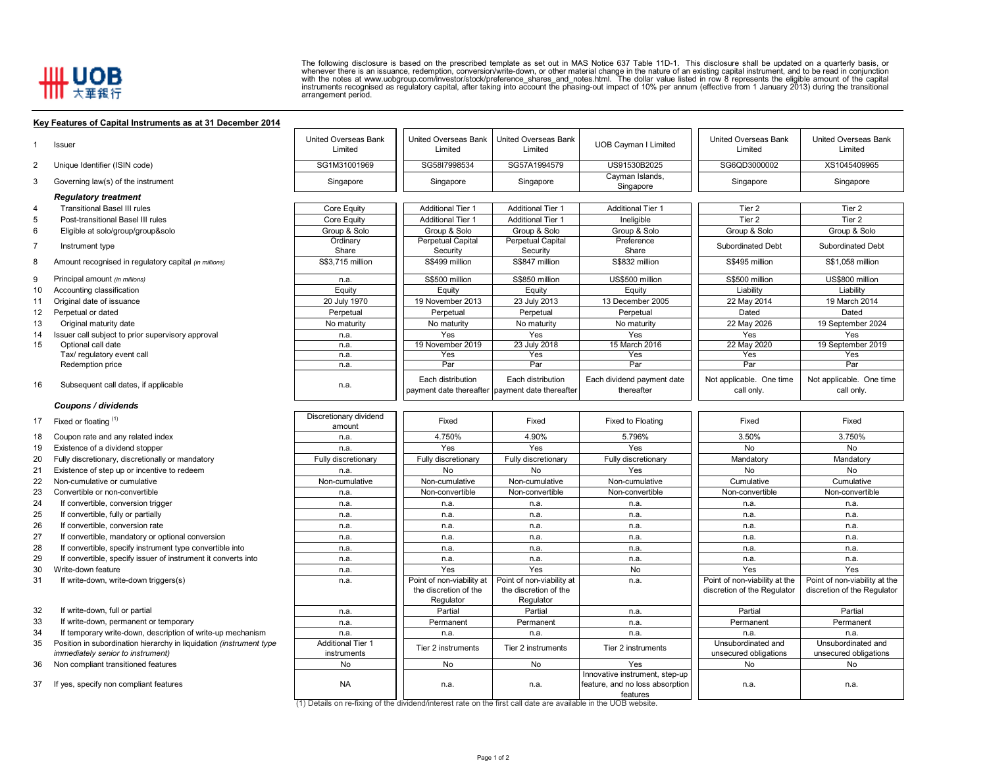## **HILL UOB**

The following disclosure is based on the prescribed template as set out in MAS Notice 637 Table 11D-1. This disclosure shall be updated on a quarterly basis, or<br>whenever there is an issuance, redemption, conversion/write-d

## **Key Features of Capital Instruments as at 31 December 2014**

| 1              | Issuer                                                                                                   | <b>United Overseas Bank</b><br>Limited  | <b>United Overseas Bank</b><br>Limited                               | <b>United Overseas Bank</b><br>Limited | <b>UOB Cayman I Limited</b>                                                   | <b>United Overseas Bank</b><br>Limited      | <b>United Overseas Bank</b><br>Limited      |
|----------------|----------------------------------------------------------------------------------------------------------|-----------------------------------------|----------------------------------------------------------------------|----------------------------------------|-------------------------------------------------------------------------------|---------------------------------------------|---------------------------------------------|
| 2              | Unique Identifier (ISIN code)                                                                            | SG1M31001969                            | SG58I7998534                                                         | SG57A1994579                           | US91530B2025                                                                  | SG6QD3000002                                | XS1045409965                                |
| 3              | Governing law(s) of the instrument                                                                       | Singapore                               | Singapore                                                            | Singapore                              | Cayman Islands,<br>Singapore                                                  | Singapore                                   | Singapore                                   |
|                | <b>Regulatory treatment</b>                                                                              |                                         |                                                                      |                                        |                                                                               |                                             |                                             |
| 4              | <b>Transitional Basel III rules</b>                                                                      | Core Equity                             | <b>Additional Tier 1</b>                                             | <b>Additional Tier 1</b>               | <b>Additional Tier 1</b>                                                      | Tier 2                                      | Tier <sub>2</sub>                           |
| 5              | Post-transitional Basel III rules                                                                        | Core Equity                             | <b>Additional Tier 1</b>                                             | <b>Additional Tier 1</b>               | Ineligible                                                                    | Tier 2                                      | Tier 2                                      |
| 6              | Eligible at solo/group/group&solo                                                                        | Group & Solo                            | Group & Solo                                                         | Group & Solo                           | Group & Solo                                                                  | Group & Solo                                | Group & Solo                                |
| $\overline{7}$ | Instrument type                                                                                          | Ordinary                                | <b>Perpetual Capital</b>                                             | <b>Perpetual Capital</b>               | Preference                                                                    | Subordinated Debt                           | Subordinated Debt                           |
| 8              | Amount recognised in regulatory capital (in millions)                                                    | Share<br>S\$3.715 million               | Security<br>S\$499 million                                           | Security<br>S\$847 million             | Share<br>S\$832 million                                                       | S\$495 million                              | S\$1,058 million                            |
| 9              | Principal amount (in millions)                                                                           | n.a.                                    | S\$500 million                                                       | S\$850 million                         | US\$500 million                                                               | S\$500 million                              | US\$800 million                             |
| 10             | Accounting classification                                                                                | Equity                                  | Equity                                                               | Equity                                 | Equity                                                                        | Liability                                   | Liability                                   |
| 11             | Original date of issuance                                                                                | 20 July 1970                            | 19 November 2013                                                     | 23 July 2013                           | 13 December 2005                                                              | 22 May 2014                                 | 19 March 2014                               |
| 12             | Perpetual or dated                                                                                       | Perpetual                               | Perpetual                                                            | Perpetual                              | Perpetual                                                                     | Dated                                       | Dated                                       |
|                |                                                                                                          |                                         |                                                                      |                                        |                                                                               |                                             |                                             |
| 13             | Original maturity date                                                                                   | No maturity                             | No maturity                                                          | No maturity                            | No maturity                                                                   | 22 May 2026                                 | 19 September 2024                           |
| 14             | Issuer call subject to prior supervisory approval<br>Optional call date                                  | n.a.                                    | Yes<br>19 November 2019                                              | Yes<br>23 July 2018                    | Yes<br>15 March 2016                                                          | Yes<br>22 May 2020                          | Yes<br>19 September 2019                    |
| 15             | Tax/ regulatory event call                                                                               | n.a.<br>n.a.                            | Yes                                                                  | Yes                                    | Yes                                                                           | Yes                                         | Yes                                         |
|                | Redemption price                                                                                         | n.a.                                    | Par                                                                  | Par                                    | Par                                                                           | Par                                         | Par                                         |
|                |                                                                                                          |                                         |                                                                      |                                        |                                                                               |                                             |                                             |
| 16             | Subsequent call dates, if applicable                                                                     | n.a.                                    | Each distribution<br>payment date thereafter payment date thereafter | Each distribution                      | Each dividend payment date<br>thereafter                                      | Not applicable. One time<br>call only.      | Not applicable. One time<br>call only.      |
|                | Coupons / dividends                                                                                      |                                         |                                                                      |                                        |                                                                               |                                             |                                             |
| 17             | Fixed or floating (1)                                                                                    | Discretionary dividend                  | Fixed                                                                | Fixed                                  | Fixed to Floating                                                             | Fixed                                       | Fixed                                       |
|                |                                                                                                          | amount                                  |                                                                      |                                        |                                                                               |                                             |                                             |
| 18             | Coupon rate and any related index                                                                        | n.a.                                    | 4.750%                                                               | 4.90%                                  | 5.796%                                                                        | 3.50%                                       | 3.750%                                      |
| 19             | Existence of a dividend stopper                                                                          | n.a.                                    | Yes                                                                  | Yes                                    | Yes                                                                           | <b>No</b>                                   | <b>No</b>                                   |
| 20             | Fully discretionary, discretionally or mandatory                                                         | Fully discretionary                     | Fully discretionary                                                  | Fully discretionary                    | Fully discretionary                                                           | Mandatory                                   | Mandatory                                   |
| 21             | Existence of step up or incentive to redeem                                                              | n.a.                                    | No                                                                   | No                                     | Yes                                                                           | No                                          | No                                          |
| 22             | Non-cumulative or cumulative                                                                             | Non-cumulative                          | Non-cumulative                                                       | Non-cumulative                         | Non-cumulative                                                                | Cumulative                                  | Cumulative                                  |
| 23             | Convertible or non-convertible                                                                           | n.a.                                    | Non-convertible                                                      | Non-convertible                        | Non-convertible                                                               | Non-convertible                             | Non-convertible                             |
| 24             | If convertible, conversion trigger                                                                       | n.a.                                    | n.a.                                                                 | n.a.                                   | n.a.                                                                          | n.a.                                        | n.a.                                        |
| 25             | If convertible, fully or partially                                                                       | n.a.                                    | n.a.                                                                 | n.a.                                   | n.a.                                                                          | n.a.                                        | n.a.                                        |
| 26             | If convertible, conversion rate                                                                          | n.a.                                    | n.a.                                                                 | n.a.                                   | n.a.                                                                          | n.a.                                        | n.a.                                        |
| 27             | If convertible, mandatory or optional conversion                                                         | n.a.                                    | n.a.                                                                 | n.a.                                   | n.a.                                                                          | n.a.                                        | n.a.                                        |
| 28             | If convertible, specify instrument type convertible into                                                 | n.a.                                    | n.a.                                                                 | n.a.                                   | n.a.                                                                          | n.a.                                        | n.a.                                        |
| 29             | If convertible, specify issuer of instrument it converts into                                            | n.a.                                    | n.a.                                                                 | n.a.                                   | n.a.                                                                          | n.a.                                        | n.a.                                        |
| 30             | Write-down feature                                                                                       | n.a.                                    | Yes                                                                  | Yes                                    | No                                                                            | Yes                                         | Yes                                         |
| 31             | If write-down, write-down triggers(s)                                                                    | n.a.                                    | Point of non-viability at                                            | Point of non-viability at              | n.a.                                                                          | Point of non-viability at the               | Point of non-viability at the               |
|                |                                                                                                          |                                         | the discretion of the                                                | the discretion of the                  |                                                                               | discretion of the Regulator                 | discretion of the Regulator                 |
|                |                                                                                                          |                                         | Regulator                                                            | Regulator                              |                                                                               |                                             |                                             |
| 32             | If write-down, full or partial                                                                           | n.a.                                    | Partial                                                              | Partial                                | n.a.                                                                          | Partial                                     | Partial                                     |
| 33             | If write-down, permanent or temporary                                                                    | n.a.                                    | Permanent                                                            | Permanent                              | n.a.                                                                          | Permanent                                   | Permanent                                   |
| 34             | If temporary write-down, description of write-up mechanism                                               | n.a.                                    | n.a.                                                                 | n.a.                                   | n.a.                                                                          | n.a.                                        | n.a.                                        |
| 35             | Position in subordination hierarchy in liquidation (instrument type<br>immediately senior to instrument) | <b>Additional Tier 1</b><br>instruments | Tier 2 instruments                                                   | Tier 2 instruments                     | Tier 2 instruments                                                            | Unsubordinated and<br>unsecured obligations | Unsubordinated and<br>unsecured obligations |
| 36             | Non compliant transitioned features                                                                      | No                                      | No                                                                   | <b>No</b>                              | Yes                                                                           | No                                          | No                                          |
|                | 37 If yes, specify non compliant features                                                                | <b>NA</b>                               | n.a.                                                                 | n.a.                                   | Innovative instrument, step-up<br>feature, and no loss absorption<br>features | n.a.                                        | n.a.                                        |
|                |                                                                                                          |                                         |                                                                      |                                        |                                                                               |                                             |                                             |

(1) Details on re-fixing of the dividend/interest rate on the first call date are available in the UOB website.